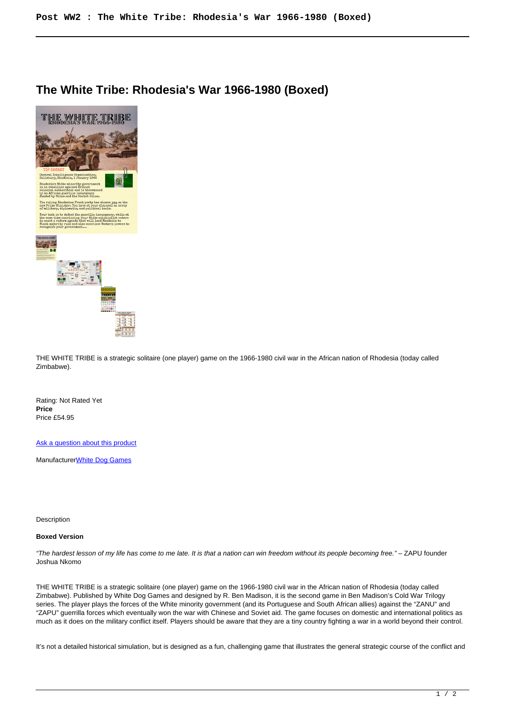## **The White Tribe: Rhodesia's War 1966-1980 (Boxed)**



THE WHITE TRIBE is a strategic solitaire (one player) game on the 1966-1980 civil war in the African nation of Rhodesia (today called Zimbabwe).

Rating: Not Rated Yet **Price**  Price £54.95

[Ask a question about this product](https://www.secondchancegames.com/index.php?option=com_virtuemart&view=productdetails&task=askquestion&virtuemart_product_id=11495&virtuemart_category_id=12&tmpl=component)

Manufacturer[White Dog Games](https://www.secondchancegames.com/index.php?option=com_virtuemart&view=manufacturer&virtuemart_manufacturer_id=3059&tmpl=component)

Description

## **Boxed Version**

"The hardest lesson of my life has come to me late. It is that a nation can win freedom without its people becoming free." – ZAPU founder Joshua Nkomo

THE WHITE TRIBE is a strategic solitaire (one player) game on the 1966-1980 civil war in the African nation of Rhodesia (today called Zimbabwe). Published by White Dog Games and designed by R. Ben Madison, it is the second game in Ben Madison's Cold War Trilogy series. The player plays the forces of the White minority government (and its Portuguese and South African allies) against the "ZANU" and "ZAPU" guerrilla forces which eventually won the war with Chinese and Soviet aid. The game focuses on domestic and international politics as much as it does on the military conflict itself. Players should be aware that they are a tiny country fighting a war in a world beyond their control.

It's not a detailed historical simulation, but is designed as a fun, challenging game that illustrates the general strategic course of the conflict and